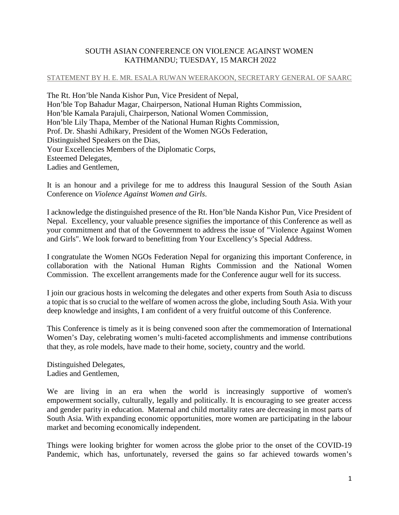## SOUTH ASIAN CONFERENCE ON VIOLENCE AGAINST WOMEN KATHMANDU; TUESDAY, 15 MARCH 2022

## STATEMENT BY H. E. MR. ESALA RUWAN WEERAKOON, SECRETARY GENERAL OF SAARC

The Rt. Hon'ble Nanda Kishor Pun, Vice President of Nepal, Hon'ble Top Bahadur Magar, Chairperson, National Human Rights Commission, Hon'ble Kamala Parajuli, Chairperson, National Women Commission, Hon'ble Lily Thapa, Member of the National Human Rights Commission, Prof. Dr. Shashi Adhikary, President of the Women NGOs Federation, Distinguished Speakers on the Dias, Your Excellencies Members of the Diplomatic Corps, Esteemed Delegates, Ladies and Gentlemen,

It is an honour and a privilege for me to address this Inaugural Session of the South Asian Conference on *Violence Against Women and Girls*.

I acknowledge the distinguished presence of the Rt. Hon'ble Nanda Kishor Pun, Vice President of Nepal. Excellency, your valuable presence signifies the importance of this Conference as well as your commitment and that of the Government to address the issue of "Violence Against Women and Girls". We look forward to benefitting from Your Excellency's Special Address.

I congratulate the Women NGOs Federation Nepal for organizing this important Conference, in collaboration with the National Human Rights Commission and the National Women Commission. The excellent arrangements made for the Conference augur well for its success.

I join our gracious hosts in welcoming the delegates and other experts from South Asia to discuss a topic that is so crucial to the welfare of women across the globe, including South Asia. With your deep knowledge and insights, I am confident of a very fruitful outcome of this Conference.

This Conference is timely as it is being convened soon after the commemoration of International Women's Day, celebrating women's multi-faceted accomplishments and immense contributions that they, as role models, have made to their home, society, country and the world.

Distinguished Delegates, Ladies and Gentlemen,

We are living in an era when the world is increasingly supportive of women's empowerment socially, culturally, legally and politically. It is encouraging to see greater access and gender parity in education. Maternal and child mortality rates are decreasing in most parts of South Asia. With expanding economic opportunities, more women are participating in the labour market and becoming economically independent.

Things were looking brighter for women across the globe prior to the onset of the COVID-19 Pandemic, which has, unfortunately, reversed the gains so far achieved towards women's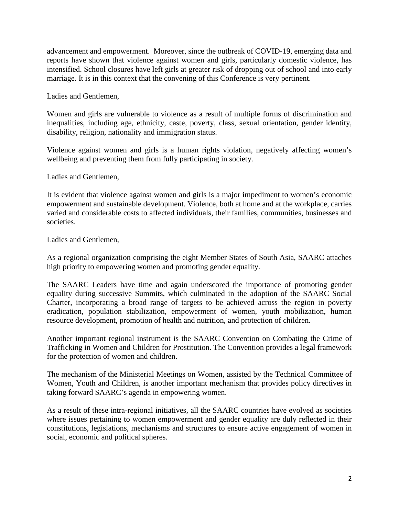advancement and empowerment. Moreover, since the outbreak of COVID-19, emerging data and reports have shown that violence against women and girls, particularly domestic violence, has intensified. School closures have left girls at greater risk of dropping out of school and into early marriage. It is in this context that the convening of this Conference is very pertinent.

Ladies and Gentlemen,

Women and girls are vulnerable to violence as a result of multiple forms of discrimination and inequalities, including age, ethnicity, caste, poverty, class, sexual orientation, gender identity, disability, religion, nationality and immigration status.

Violence against women and girls is a human rights violation, negatively affecting women's wellbeing and preventing them from fully participating in society.

Ladies and Gentlemen,

It is evident that violence against women and girls is a major impediment to women's economic empowerment and sustainable development. Violence, both at home and at the workplace, carries varied and considerable costs to affected individuals, their families, communities, businesses and societies.

Ladies and Gentlemen,

As a regional organization comprising the eight Member States of South Asia, SAARC attaches high priority to empowering women and promoting gender equality.

The SAARC Leaders have time and again underscored the importance of promoting gender equality during successive Summits, which culminated in the adoption of the SAARC Social Charter, incorporating a broad range of targets to be achieved across the region in poverty eradication, population stabilization, empowerment of women, youth mobilization, human resource development, promotion of health and nutrition, and protection of children.

Another important regional instrument is the SAARC Convention on Combating the Crime of Trafficking in Women and Children for Prostitution. The Convention provides a legal framework for the protection of women and children.

The mechanism of the Ministerial Meetings on Women, assisted by the Technical Committee of Women, Youth and Children, is another important mechanism that provides policy directives in taking forward SAARC's agenda in empowering women.

As a result of these intra-regional initiatives, all the SAARC countries have evolved as societies where issues pertaining to women empowerment and gender equality are duly reflected in their constitutions, legislations, mechanisms and structures to ensure active engagement of women in social, economic and political spheres.